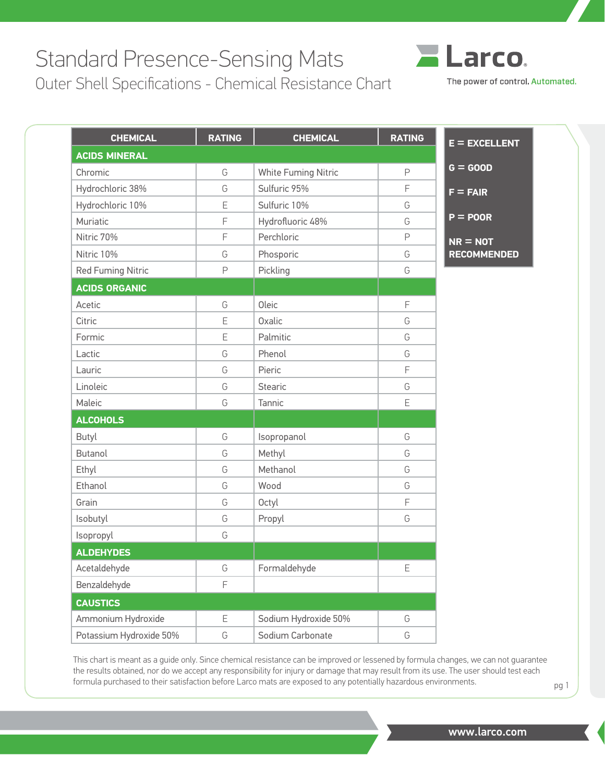## Standard Presence-Sensing Mats

Outer Shell Specifications - Chemical Resistance Chart



The power of control. Automated.

| <b>CHEMICAL</b>          | <b>RATING</b> | <b>CHEMICAL</b>      | <b>RATING</b> | $E = EXCELLENT$    |
|--------------------------|---------------|----------------------|---------------|--------------------|
| <b>ACIDS MINERAL</b>     |               |                      |               |                    |
| Chromic                  | G             | White Fuming Nitric  | $\mathsf P$   | $G = GOOD$         |
| Hydrochloric 38%         | G             | Sulfuric 95%         | F             | $F = FAIR$         |
| Hydrochloric 10%         | E             | Sulfuric 10%         | G             |                    |
| Muriatic                 | F             | Hydrofluoric 48%     | G             | $P = POOR$         |
| Nitric 70%               | F             | Perchloric           | $\mathsf{P}$  | $NR = NOT$         |
| Nitric 10%               | G             | Phosporic            | G             | <b>RECOMMENDED</b> |
| <b>Red Fuming Nitric</b> | P             | Pickling             | G             |                    |
| <b>ACIDS ORGANIC</b>     |               |                      |               |                    |
| Acetic                   | G             | Oleic                | F             |                    |
| Citric                   | E             | Oxalic               | G             |                    |
| Formic                   | E             | Palmitic             | G             |                    |
| Lactic                   | G             | Phenol               | G             |                    |
| Lauric                   | G             | Pieric               | F             |                    |
| Linoleic                 | G             | <b>Stearic</b>       | G             |                    |
| Maleic                   | G             | Tannic               | E             |                    |
| <b>ALCOHOLS</b>          |               |                      |               |                    |
| Butyl                    | G             | Isopropanol          | G             |                    |
| <b>Butanol</b>           | G             | Methyl               | G             |                    |
| Ethyl                    | G             | Methanol             | G             |                    |
| Ethanol                  | G             | Wood                 | G             |                    |
| Grain                    | G             | Octyl                | F             |                    |
| Isobutyl                 | G             | Propyl               | G             |                    |
| Isopropyl                | G             |                      |               |                    |
| <b>ALDEHYDES</b>         |               |                      |               |                    |
| Acetaldehyde             | G             | Formaldehyde         | E             |                    |
| Benzaldehyde             | F             |                      |               |                    |
| <b>CAUSTICS</b>          |               |                      |               |                    |
| Ammonium Hydroxide       | E             | Sodium Hydroxide 50% | G             |                    |
| Potassium Hydroxide 50%  | G             | Sodium Carbonate     | G             |                    |

This chart is meant as a guide only. Since chemical resistance can be improved or lessened by formula changes, we can not guarantee the results obtained, nor do we accept any responsibility for injury or damage that may result from its use. The user should test each formula purchased to their satisfaction before Larco mats are exposed to any potentially hazardous environments. pg 1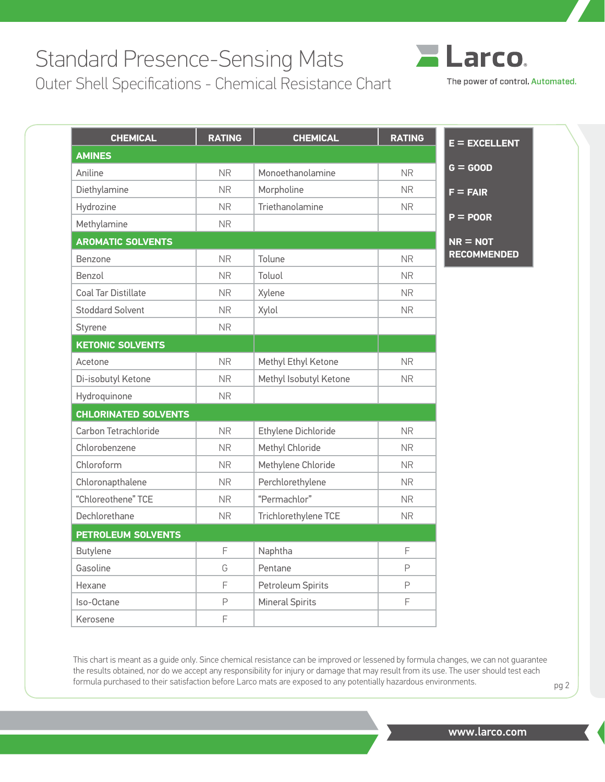## Standard Presence-Sensing Mats

Outer Shell Specifications - Chemical Resistance Chart

| _arco<br>间                       |
|----------------------------------|
| The power of control. Automated. |

| <b>CHEMICAL</b>             | <b>RATING</b> | <b>CHEMICAL</b>        | <b>RATING</b> | $E = EXCELLENT$    |
|-----------------------------|---------------|------------------------|---------------|--------------------|
| <b>AMINES</b>               |               |                        |               |                    |
| Aniline                     | <b>NR</b>     | Monoethanolamine       | <b>NR</b>     | $G = GOOD$         |
| Diethylamine                | <b>NR</b>     | Morpholine             | NR.           | $F = FAIR$         |
| Hydrozine                   | <b>NR</b>     | Triethanolamine        | <b>NR</b>     |                    |
| Methylamine                 | <b>NR</b>     |                        |               | $P = POOR$         |
| <b>AROMATIC SOLVENTS</b>    |               |                        |               | $NR = NOT$         |
| Benzone                     | <b>NR</b>     | Tolune                 | <b>NR</b>     | <b>RECOMMENDED</b> |
| Benzol                      | <b>NR</b>     | Toluol                 | <b>NR</b>     |                    |
| <b>Coal Tar Distillate</b>  | <b>NR</b>     | Xylene                 | <b>NR</b>     |                    |
| <b>Stoddard Solvent</b>     | <b>NR</b>     | Xylol                  | <b>NR</b>     |                    |
| Styrene                     | <b>NR</b>     |                        |               |                    |
| <b>KETONIC SOLVENTS</b>     |               |                        |               |                    |
| Acetone                     | <b>NR</b>     | Methyl Ethyl Ketone    | <b>NR</b>     |                    |
| Di-isobutyl Ketone          | <b>NR</b>     | Methyl Isobutyl Ketone | <b>NR</b>     |                    |
| Hydroquinone                | <b>NR</b>     |                        |               |                    |
| <b>CHLORINATED SOLVENTS</b> |               |                        |               |                    |
| Carbon Tetrachloride        | <b>NR</b>     | Ethylene Dichloride    | <b>NR</b>     |                    |
| Chlorobenzene               | <b>NR</b>     | Methyl Chloride        | <b>NR</b>     |                    |
| Chloroform                  | <b>NR</b>     | Methylene Chloride     | <b>NR</b>     |                    |
| Chloronapthalene            | <b>NR</b>     | Perchlorethylene       | <b>NR</b>     |                    |
| "Chloreothene" TCE          | <b>NR</b>     | "Permachlor"           | <b>NR</b>     |                    |
| Dechlorethane               | NR.           | Trichlorethylene TCE   | <b>NR</b>     |                    |
| <b>PETROLEUM SOLVENTS</b>   |               |                        |               |                    |
| Butylene                    | F             | Naphtha                | F             |                    |
| Gasoline                    | G             | Pentane                | P             |                    |
| Hexane                      | F             | Petroleum Spirits      | $\mathsf P$   |                    |
| Iso-Octane                  | P             | <b>Mineral Spirits</b> | F             |                    |
| Kerosene                    | F             |                        |               |                    |

This chart is meant as a guide only. Since chemical resistance can be improved or lessened by formula changes, we can not guarantee the results obtained, nor do we accept any responsibility for injury or damage that may result from its use. The user should test each formula purchased to their satisfaction before Larco mats are exposed to any potentially hazardous environments. pg 2